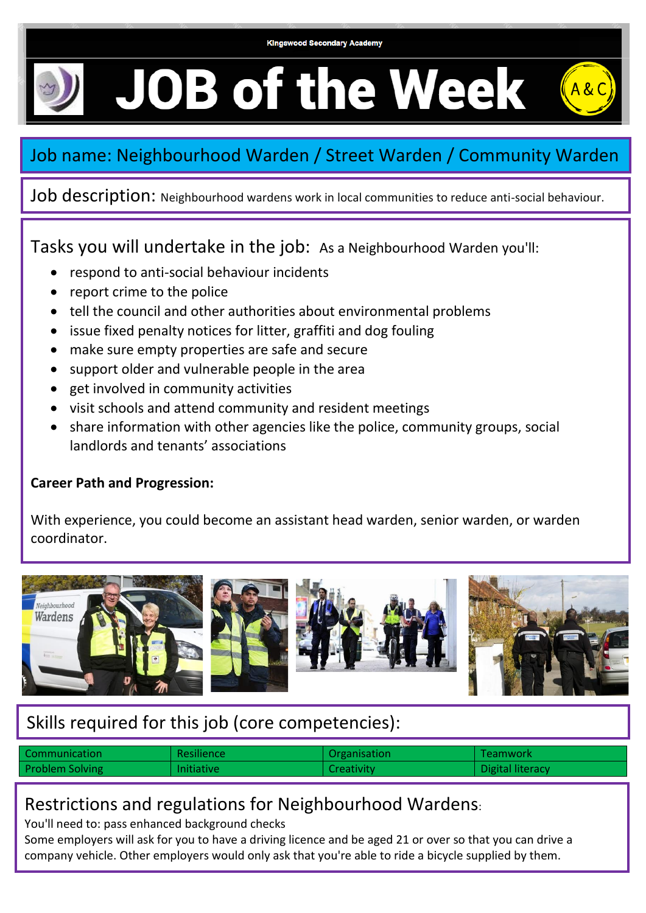#### **Kingswood Secondary Academy**

**JOB of the Week** 

# Job name: Neighbourhood Warden / Street Warden / Community Warden

Job description: Neighbourhood wardens work in local communities to reduce anti-social behaviour.

Tasks you will undertake in the job: As a Neighbourhood Warden you'll:

- respond to anti-social behaviour incidents
- report crime to the police
- tell the council and other authorities about environmental problems
- issue fixed penalty notices for litter, graffiti and dog fouling
- make sure empty properties are safe and secure
- support older and vulnerable people in the area
- get involved in community activities
- visit schools and attend community and resident meetings
- share information with other agencies like the police, community groups, social landlords and tenants' associations

#### **Career Path and Progression:**

With experience, you could become an assistant head warden, senior warden, or warden coordinator.



### Skills required for this job (core competencies):

| Communication          | Resilience        | Organisation | Teamwork         |
|------------------------|-------------------|--------------|------------------|
| <b>Problem Solving</b> | <b>Initiative</b> | Creativity   | Digital literacy |

### Restrictions and regulations for Neighbourhood Wardens:

You'll need to: pass enhanced background checks

Some employers will ask for you to have a driving licence and be aged 21 or over so that you can drive a company vehicle. Other employers would only ask that you're able to ride a bicycle supplied by them.